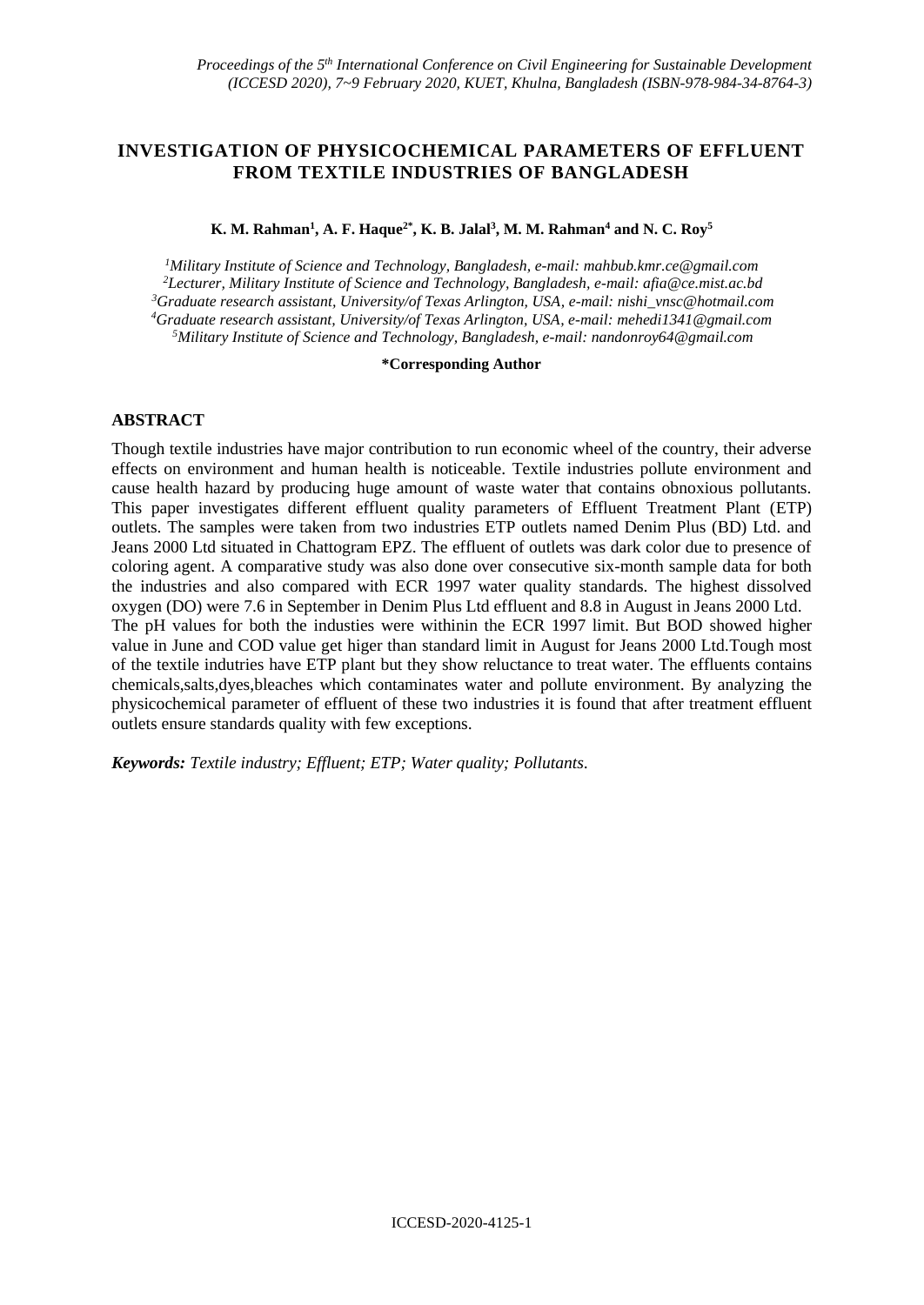# **INVESTIGATION OF PHYSICOCHEMICAL PARAMETERS OF EFFLUENT FROM TEXTILE INDUSTRIES OF BANGLADESH**

**K. M. Rahman<sup>1</sup> , A. F. Haque2\*, K. B. Jalal<sup>3</sup> , M. M. Rahman<sup>4</sup> and N. C. Roy<sup>5</sup>**

*Military Institute of Science and Technology, Bangladesh, e-mail: [mahbub.kmr.ce@gmail.com](mailto:mahbub.kmr.ce@gmail.com) Lecturer, Military Institute of Science and Technology, Bangladesh, e-mail[: afia@ce.mist.ac.bd](mailto:afia@ce.mist.ac.bd) Graduate research assistant, University/of Texas Arlington, USA, e-mail: [nishi\\_vnsc@hotmail.com](mailto:nishi_vnsc@hotmail.com) Graduate research assistant, University/of Texas Arlington, USA, e-mail: [mehedi1341@gmail.com](mailto:mehedi1341@gmail.com) Military Institute of Science and Technology, Bangladesh, e-mail: [nandonroy64@gmail.com](mailto:nandonroy64@gmail.com)*

#### **\*Corresponding Author**

#### **ABSTRACT**

Though textile industries have major contribution to run economic wheel of the country, their adverse effects on environment and human health is noticeable. Textile industries pollute environment and cause health hazard by producing huge amount of waste water that contains obnoxious pollutants. This paper investigates different effluent quality parameters of Effluent Treatment Plant (ETP) outlets. The samples were taken from two industries ETP outlets named Denim Plus (BD) Ltd. and Jeans 2000 Ltd situated in Chattogram EPZ. The effluent of outlets was dark color due to presence of coloring agent. A comparative study was also done over consecutive six-month sample data for both the industries and also compared with ECR 1997 water quality standards. The highest dissolved oxygen (DO) were 7.6 in September in Denim Plus Ltd effluent and 8.8 in August in Jeans 2000 Ltd. The pH values for both the industies were withinin the ECR 1997 limit. But BOD showed higher value in June and COD value get higer than standard limit in August for Jeans 2000 Ltd.Tough most of the textile indutries have ETP plant but they show reluctance to treat water. The effluents contains chemicals,salts,dyes,bleaches which contaminates water and pollute environment. By analyzing the physicochemical parameter of effluent of these two industries it is found that after treatment effluent outlets ensure standards quality with few exceptions.

*Keywords: Textile industry; Effluent; ETP; Water quality; Pollutants.*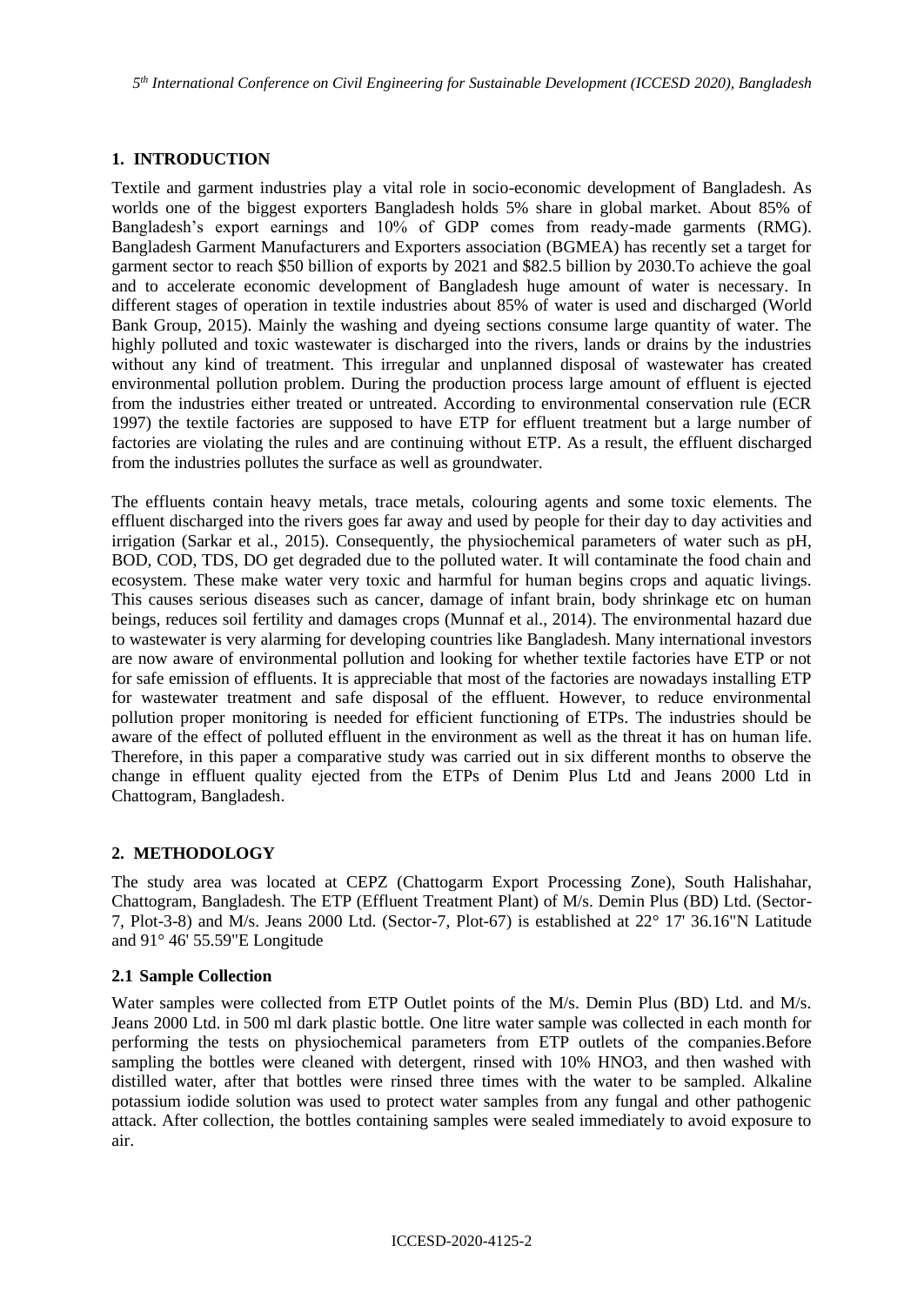*5 th International Conference on Civil Engineering for Sustainable Development (ICCESD 2020), Bangladesh*

### **1. INTRODUCTION**

Textile and garment industries play a vital role in socio-economic development of Bangladesh. As worlds one of the biggest exporters Bangladesh holds 5% share in global market. About 85% of Bangladesh's export earnings and 10% of GDP comes from ready-made garments (RMG). Bangladesh Garment Manufacturers and Exporters association (BGMEA) has recently set a target for garment sector to reach \$50 billion of exports by 2021 and \$82.5 billion by 2030.To achieve the goal and to accelerate economic development of Bangladesh huge amount of water is necessary. In different stages of operation in textile industries about 85% of water is used and discharged (World Bank Group, 2015). Mainly the washing and dyeing sections consume large quantity of water. The highly polluted and toxic wastewater is discharged into the rivers, lands or drains by the industries without any kind of treatment. This irregular and unplanned disposal of wastewater has created environmental pollution problem. During the production process large amount of effluent is ejected from the industries either treated or untreated. According to environmental conservation rule (ECR 1997) the textile factories are supposed to have ETP for effluent treatment but a large number of factories are violating the rules and are continuing without ETP. As a result, the effluent discharged from the industries pollutes the surface as well as groundwater.

The effluents contain heavy metals, trace metals, colouring agents and some toxic elements. The effluent discharged into the rivers goes far away and used by people for their day to day activities and irrigation (Sarkar et al., 2015). Consequently, the physiochemical parameters of water such as pH, BOD, COD, TDS, DO get degraded due to the polluted water. It will contaminate the food chain and ecosystem. These make water very toxic and harmful for human begins crops and aquatic livings. This causes serious diseases such as cancer, damage of infant brain, body shrinkage etc on human beings, reduces soil fertility and damages crops (Munnaf et al., 2014). The environmental hazard due to wastewater is very alarming for developing countries like Bangladesh. Many international investors are now aware of environmental pollution and looking for whether textile factories have ETP or not for safe emission of effluents. It is appreciable that most of the factories are nowadays installing ETP for wastewater treatment and safe disposal of the effluent. However, to reduce environmental pollution proper monitoring is needed for efficient functioning of ETPs. The industries should be aware of the effect of polluted effluent in the environment as well as the threat it has on human life. Therefore, in this paper a comparative study was carried out in six different months to observe the change in effluent quality ejected from the ETPs of Denim Plus Ltd and Jeans 2000 Ltd in Chattogram, Bangladesh.

### **2. METHODOLOGY**

The study area was located at CEPZ (Chattogarm Export Processing Zone), South Halishahar, Chattogram, Bangladesh. The ETP (Effluent Treatment Plant) of M/s. Demin Plus (BD) Ltd. (Sector-7, Plot-3-8) and M/s. Jeans 2000 Ltd. (Sector-7, Plot-67) is established at 22° 17' 36.16"N Latitude and 91° 46' 55.59"E Longitude

### **2.1 Sample Collection**

Water samples were collected from ETP Outlet points of the M/s. Demin Plus (BD) Ltd. and M/s. Jeans 2000 Ltd. in 500 ml dark plastic bottle. One litre water sample was collected in each month for performing the tests on physiochemical parameters from ETP outlets of the companies.Before sampling the bottles were cleaned with detergent, rinsed with 10% HNO3, and then washed with distilled water, after that bottles were rinsed three times with the water to be sampled. Alkaline potassium iodide solution was used to protect water samples from any fungal and other pathogenic attack. After collection, the bottles containing samples were sealed immediately to avoid exposure to air.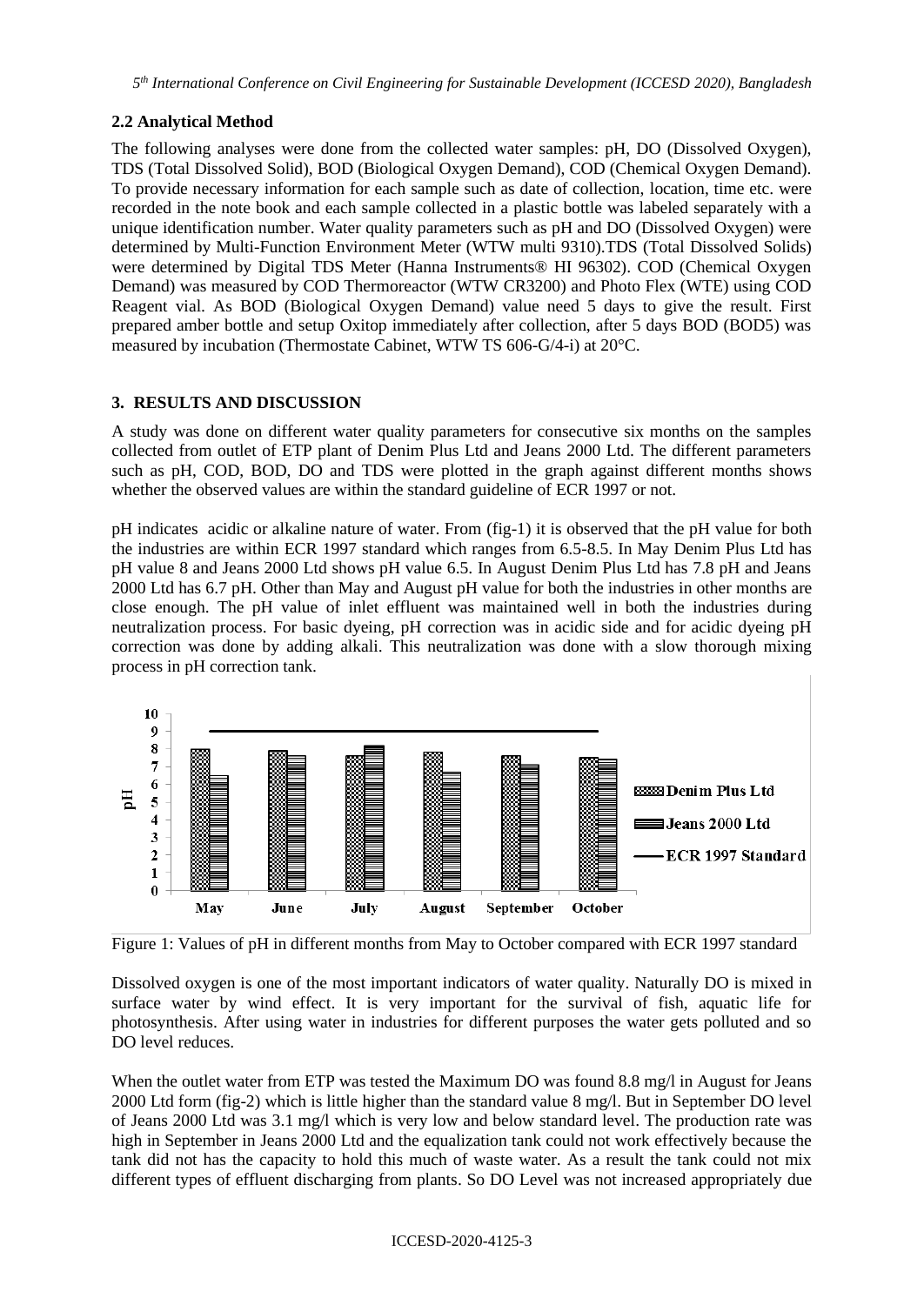## **2.2 Analytical Method**

The following analyses were done from the collected water samples: pH, DO (Dissolved Oxygen), TDS (Total Dissolved Solid), BOD (Biological Oxygen Demand), COD (Chemical Oxygen Demand). To provide necessary information for each sample such as date of collection, location, time etc. were recorded in the note book and each sample collected in a plastic bottle was labeled separately with a unique identification number. Water quality parameters such as pH and DO (Dissolved Oxygen) were determined by Multi-Function Environment Meter (WTW multi 9310).TDS (Total Dissolved Solids) were determined by Digital TDS Meter (Hanna Instruments<sup>®</sup> HI 96302). COD (Chemical Oxygen Demand) was measured by COD Thermoreactor (WTW CR3200) and Photo Flex (WTE) using COD Reagent vial. As BOD (Biological Oxygen Demand) value need 5 days to give the result. First prepared amber bottle and setup Oxitop immediately after collection, after 5 days BOD (BOD5) was measured by incubation (Thermostate Cabinet, WTW TS 606-G/4-i) at 20°C.

## **3. RESULTS AND DISCUSSION**

A study was done on different water quality parameters for consecutive six months on the samples collected from outlet of ETP plant of Denim Plus Ltd and Jeans 2000 Ltd. The different parameters such as pH, COD, BOD, DO and TDS were plotted in the graph against different months shows whether the observed values are within the standard guideline of ECR 1997 or not.

pH indicates acidic or alkaline nature of water. From (fig-1) it is observed that the pH value for both the industries are within ECR 1997 standard which ranges from 6.5-8.5. In May Denim Plus Ltd has pH value 8 and Jeans 2000 Ltd shows pH value 6.5. In August Denim Plus Ltd has 7.8 pH and Jeans 2000 Ltd has 6.7 pH. Other than May and August pH value for both the industries in other months are close enough. The pH value of inlet effluent was maintained well in both the industries during neutralization process. For basic dyeing, pH correction was in acidic side and for acidic dyeing pH correction was done by adding alkali. This neutralization was done with a slow thorough mixing process in pH correction tank.



Figure 1: Values of pH in different months from May to October compared with ECR 1997 standard

Dissolved oxygen is one of the most important indicators of water quality. Naturally DO is mixed in surface water by wind effect. It is very important for the survival of fish, aquatic life for photosynthesis. After using water in industries for different purposes the water gets polluted and so DO level reduces.

When the outlet water from ETP was tested the Maximum DO was found 8.8 mg/l in August for Jeans 2000 Ltd form (fig-2) which is little higher than the standard value 8 mg/l. But in September DO level of Jeans 2000 Ltd was 3.1 mg/l which is very low and below standard level. The production rate was high in September in Jeans 2000 Ltd and the equalization tank could not work effectively because the tank did not has the capacity to hold this much of waste water. As a result the tank could not mix different types of effluent discharging from plants. So DO Level was not increased appropriately due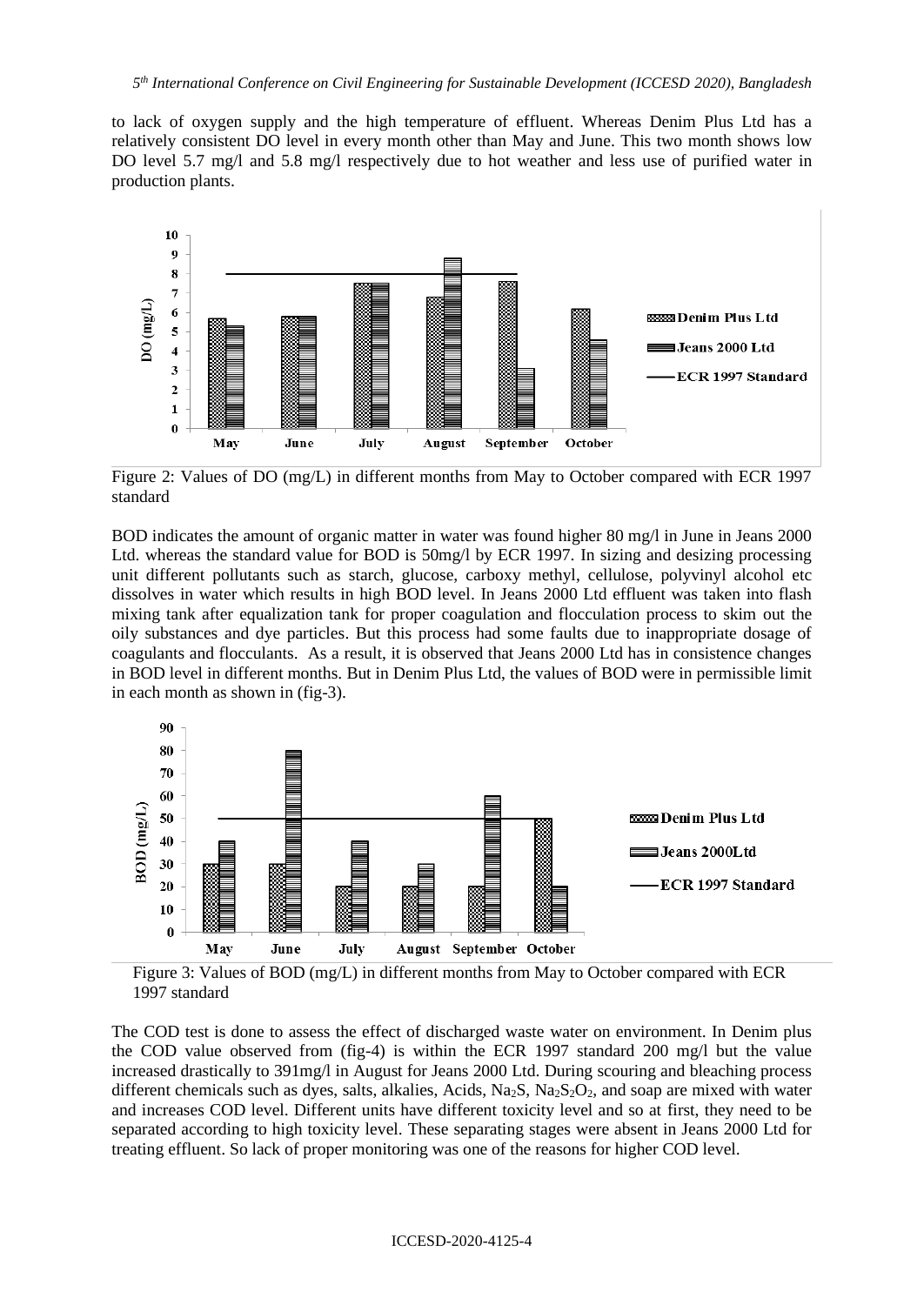to lack of oxygen supply and the high temperature of effluent. Whereas Denim Plus Ltd has a relatively consistent DO level in every month other than May and June. This two month shows low DO level 5.7 mg/l and 5.8 mg/l respectively due to hot weather and less use of purified water in production plants.



Figure 2: Values of DO (mg/L) in different months from May to October compared with ECR 1997 standard

BOD indicates the amount of organic matter in water was found higher 80 mg/l in June in Jeans 2000 Ltd. whereas the standard value for BOD is 50mg/l by ECR 1997. In sizing and desizing processing unit different pollutants such as starch, glucose, carboxy methyl, cellulose, polyvinyl alcohol etc dissolves in water which results in high BOD level. In Jeans 2000 Ltd effluent was taken into flash mixing tank after equalization tank for proper coagulation and flocculation process to skim out the oily substances and dye particles. But this process had some faults due to inappropriate dosage of coagulants and flocculants. As a result, it is observed that Jeans 2000 Ltd has in consistence changes in BOD level in different months. But in Denim Plus Ltd, the values of BOD were in permissible limit in each month as shown in (fig-3).



Figure 3: Values of BOD (mg/L) in different months from May to October compared with ECR 1997 standard

The COD test is done to assess the effect of discharged waste water on environment. In Denim plus the COD value observed from (fig-4) is within the ECR 1997 standard 200 mg/l but the value increased drastically to 391mg/l in August for Jeans 2000 Ltd. During scouring and bleaching process different chemicals such as dyes, salts, alkalies, Acids, Na<sub>2</sub>S, Na<sub>2</sub>S<sub>2</sub>O<sub>2</sub>, and soap are mixed with water and increases COD level. Different units have different toxicity level and so at first, they need to be separated according to high toxicity level. These separating stages were absent in Jeans 2000 Ltd for treating effluent. So lack of proper monitoring was one of the reasons for higher COD level.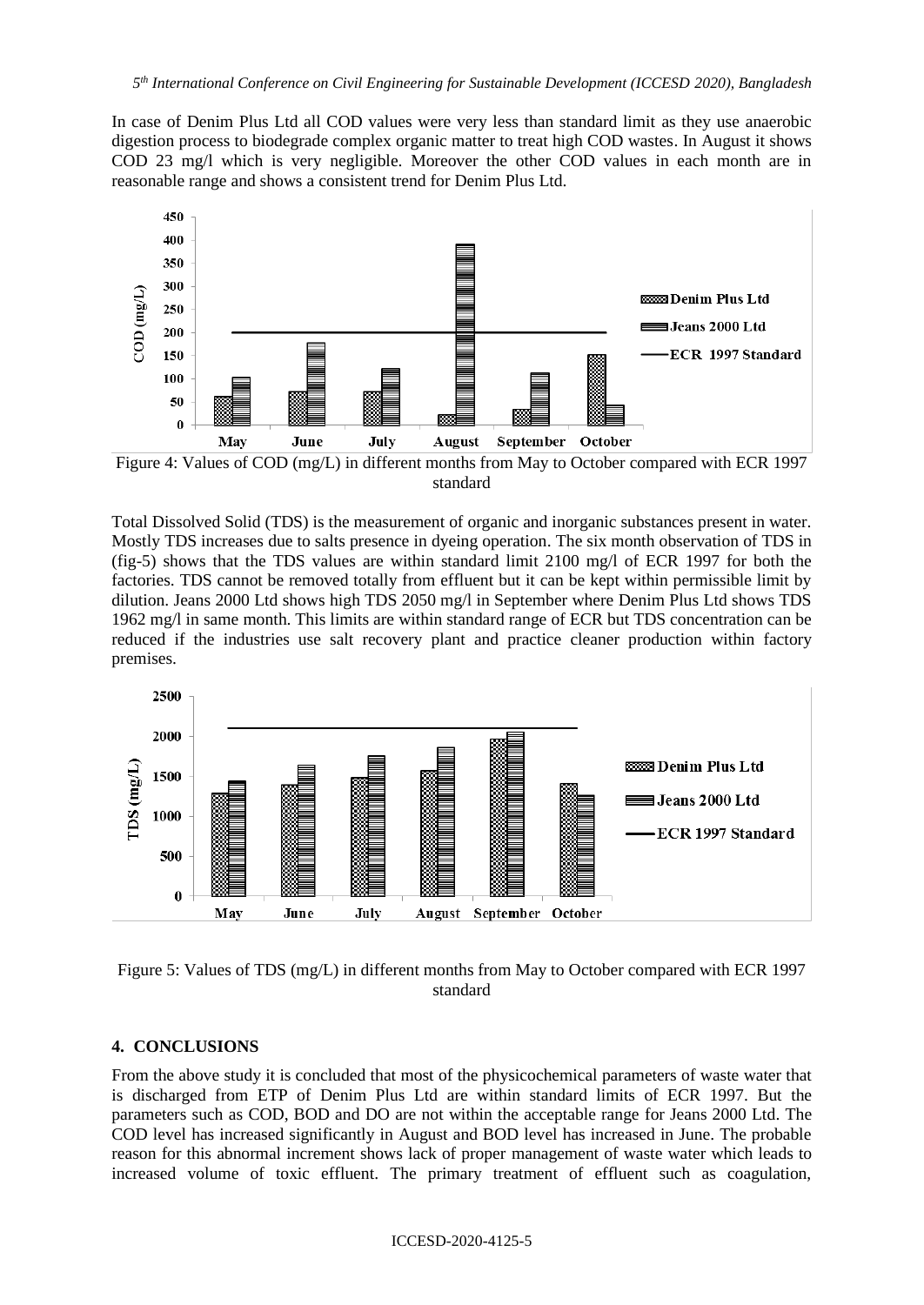In case of Denim Plus Ltd all COD values were very less than standard limit as they use anaerobic digestion process to biodegrade complex organic matter to treat high COD wastes. In August it shows COD 23 mg/l which is very negligible. Moreover the other COD values in each month are in reasonable range and shows a consistent trend for Denim Plus Ltd.



Figure 4: Values of COD (mg/L) in different months from May to October compared with ECR 1997 standard

Total Dissolved Solid (TDS) is the measurement of organic and inorganic substances present in water. Mostly TDS increases due to salts presence in dyeing operation. The six month observation of TDS in (fig-5) shows that the TDS values are within standard limit 2100 mg/l of ECR 1997 for both the factories. TDS cannot be removed totally from effluent but it can be kept within permissible limit by dilution. Jeans 2000 Ltd shows high TDS 2050 mg/l in September where Denim Plus Ltd shows TDS 1962 mg/l in same month. This limits are within standard range of ECR but TDS concentration can be reduced if the industries use salt recovery plant and practice cleaner production within factory premises.



Figure 5: Values of TDS (mg/L) in different months from May to October compared with ECR 1997 standard

### **4. CONCLUSIONS**

From the above study it is concluded that most of the physicochemical parameters of waste water that is discharged from ETP of Denim Plus Ltd are within standard limits of ECR 1997. But the parameters such as COD, BOD and DO are not within the acceptable range for Jeans 2000 Ltd. The COD level has increased significantly in August and BOD level has increased in June. The probable reason for this abnormal increment shows lack of proper management of waste water which leads to increased volume of toxic effluent. The primary treatment of effluent such as coagulation,